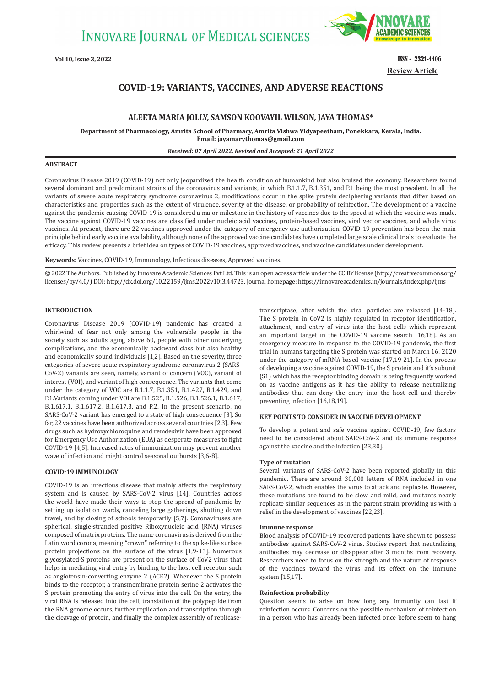**INNOVARE JOURNAL OF MEDICAL SCIENCES** 



**Vol 10, Issue 3, 2022** ISSN - 2321-4406 **Review Article**

# **COVID-19: VARIANTS, VACCINES, AND ADVERSE REACTIONS**

# **ALEETA MARIA JOLLY, SAMSON KOOVAYIL WILSON, JAYA THOMAS\***

**Department of Pharmacology, Amrita School of Pharmacy, Amrita Vishwa Vidyapeetham, Ponekkara, Kerala, India. Email: jayamarythomas@gmail.com**

# *Received: 07 April 2022, Revised and Accepted: 21 April 2022*

# **ABSTRACT**

Coronavirus Disease 2019 (COVID-19) not only jeopardized the health condition of humankind but also bruised the economy. Researchers found several dominant and predominant strains of the coronavirus and variants, in which B.1.1.7, B.1.351, and P.1 being the most prevalent. In all the variants of severe acute respiratory syndrome coronavirus 2, modifications occur in the spike protein deciphering variants that differ based on characteristics and properties such as the extent of virulence, severity of the disease, or probability of reinfection. The development of a vaccine against the pandemic causing COVID-19 is considered a major milestone in the history of vaccines due to the speed at which the vaccine was made. The vaccine against COVID-19 vaccines are classified under nucleic acid vaccines, protein-based vaccines, viral vector vaccines, and whole virus vaccines. At present, there are 22 vaccines approved under the category of emergency use authorization. COVID-19 prevention has been the main principle behind early vaccine availability, although none of the approved vaccine candidates have completed large scale clinical trials to evaluate the efficacy. This review presents a brief idea on types of COVID-19 vaccines, approved vaccines, and vaccine candidates under development.

**Keywords:** Vaccines, COVID-19, Immunology, Infectious diseases, Approved vaccines.

© 2022 The Authors. Published by Innovare Academic Sciences Pvt Ltd. This is an open access article under the CC BY license (http://creativecommons.org/ licenses/by/4.0/) DOI: http://dx.doi.org/10.22159/ijms.2022v10i3.44723. Journal homepage: https://innovareacademics.in/journals/index.php/ijms

# **INTRODUCTION**

Coronavirus Disease 2019 (COVID-19) pandemic has created a whirlwind of fear not only among the vulnerable people in the society such as adults aging above 60, people with other underlying complications, and the economically backward class but also healthy and economically sound individuals [1,2]. Based on the severity, three categories of severe acute respiratory syndrome coronavirus 2 (SARS-CoV-2) variants are seen, namely, variant of concern (VOC), variant of interest (VOI), and variant of high consequence. The variants that come under the category of VOC are B.1.1.7, B.1.351, B.1.427, B.1.429, and P.1.Variants coming under VOI are B.1.525, B.1.526, B.1.526.1, B.1.617, B.1.617.1, B.1.617.2, B.1.617.3, and P.2. In the present scenario, no SARS-CoV-2 variant has emerged to a state of high consequence [3]. So far, 22 vaccines have been authorized across several countries [2,3]. Few drugs such as hydroxychloroquine and remdesivir have been approved for Emergency Use Authorization (EUA) as desperate measures to fight COVID-19 [4,5]. Increased rates of immunization may prevent another wave of infection and might control seasonal outbursts [3,6-8].

#### **COVID-19 IMMUNOLOGY**

COVID-19 is an infectious disease that mainly affects the respiratory system and is caused by SARS-CoV-2 virus [14]. Countries across the world have made their ways to stop the spread of pandemic by setting up isolation wards, canceling large gatherings, shutting down travel, and by closing of schools temporarily [5,7]. Coronaviruses are spherical, single-stranded positive Riboxynucleic acid (RNA) viruses composed of matrix proteins. The name coronavirus is derived from the Latin word corona, meaning "crown" referring to the spike-like surface protein projections on the surface of the virus [1,9-13]. Numerous glycosylated-S proteins are present on the surface of CoV2 virus that helps in mediating viral entry by binding to the host cell receptor such as angiotensin-converting enzyme 2 (ACE2). Whenever the S protein binds to the receptor, a transmembrane protein serine 2 activates the S protein promoting the entry of virus into the cell. On the entry, the viral RNA is released into the cell, translation of the polypeptide from the RNA genome occurs, further replication and transcription through the cleavage of protein, and finally the complex assembly of replicasetranscriptase, after which the viral particles are released [14-18]. The S protein in CoV2 is highly regulated in receptor identification, attachment, and entry of virus into the host cells which represent an important target in the COVID-19 vaccine search [16,18]. As an emergency measure in response to the COVID-19 pandemic, the first trial in humans targeting the S protein was started on March 16, 2020 under the category of mRNA based vaccine [17,19-21]. In the process of developing a vaccine against COVID-19, the S protein and it's subunit (S1) which has the receptor binding domain is being frequently worked on as vaccine antigens as it has the ability to release neutralizing antibodies that can deny the entry into the host cell and thereby preventing infection [16,18,19].

# **KEY POINTS TO CONSIDER IN VACCINE DEVELOPMENT**

To develop a potent and safe vaccine against COVID-19, few factors need to be considered about SARS-CoV-2 and its immune response against the vaccine and the infection [23,30].

#### **Type of mutation**

Several variants of SARS-CoV-2 have been reported globally in this pandemic. There are around 30,000 letters of RNA included in one SARS-CoV-2, which enables the virus to attack and replicate. However, these mutations are found to be slow and mild, and mutants nearly replicate similar sequences as in the parent strain providing us with a relief in the development of vaccines [22,23].

#### **Immune response**

Blood analysis of COVID-19 recovered patients have shown to possess antibodies against SARS-CoV-2 virus. Studies report that neutralizing antibodies may decrease or disappear after 3 months from recovery. Researchers need to focus on the strength and the nature of response of the vaccines toward the virus and its effect on the immune system [15,17].

# **Reinfection probability**

Question seems to arise on how long any immunity can last if reinfection occurs. Concerns on the possible mechanism of reinfection in a person who has already been infected once before seem to hang